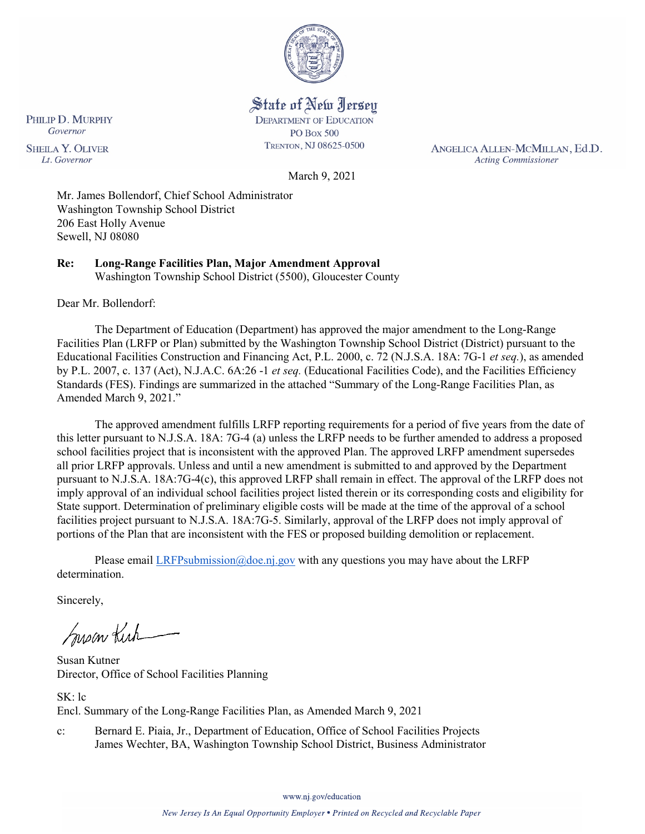

State of New Jersey **DEPARTMENT OF EDUCATION PO Box 500** 

TRENTON, NJ 08625-0500

ANGELICA ALLEN-MCMILLAN, Ed.D. **Acting Commissioner** 

Governor **SHEILA Y. OLIVER** Lt. Governor

PHILIP D. MURPHY

March 9, 2021

Mr. James Bollendorf, Chief School Administrator Washington Township School District 206 East Holly Avenue Sewell, NJ 08080

**Re: Long-Range Facilities Plan, Major Amendment Approval**  Washington Township School District (5500), Gloucester County

Dear Mr. Bollendorf:

The Department of Education (Department) has approved the major amendment to the Long-Range Facilities Plan (LRFP or Plan) submitted by the Washington Township School District (District) pursuant to the Educational Facilities Construction and Financing Act, P.L. 2000, c. 72 (N.J.S.A. 18A: 7G-1 *et seq.*), as amended by P.L. 2007, c. 137 (Act), N.J.A.C. 6A:26 -1 *et seq.* (Educational Facilities Code), and the Facilities Efficiency Standards (FES). Findings are summarized in the attached "Summary of the Long-Range Facilities Plan, as Amended March 9, 2021."

The approved amendment fulfills LRFP reporting requirements for a period of five years from the date of this letter pursuant to N.J.S.A. 18A: 7G-4 (a) unless the LRFP needs to be further amended to address a proposed school facilities project that is inconsistent with the approved Plan. The approved LRFP amendment supersedes all prior LRFP approvals. Unless and until a new amendment is submitted to and approved by the Department pursuant to N.J.S.A. 18A:7G-4(c), this approved LRFP shall remain in effect. The approval of the LRFP does not imply approval of an individual school facilities project listed therein or its corresponding costs and eligibility for State support. Determination of preliminary eligible costs will be made at the time of the approval of a school facilities project pursuant to N.J.S.A. 18A:7G-5. Similarly, approval of the LRFP does not imply approval of portions of the Plan that are inconsistent with the FES or proposed building demolition or replacement.

Please email [LRFPsubmission@doe.nj.gov](mailto:LRFPsubmission@doe.nj.gov) with any questions you may have about the LRFP determination.

Sincerely,

Susan Kich

Susan Kutner Director, Office of School Facilities Planning

SK: lc Encl. Summary of the Long-Range Facilities Plan, as Amended March 9, 2021

c: Bernard E. Piaia, Jr., Department of Education, Office of School Facilities Projects James Wechter, BA, Washington Township School District, Business Administrator

www.nj.gov/education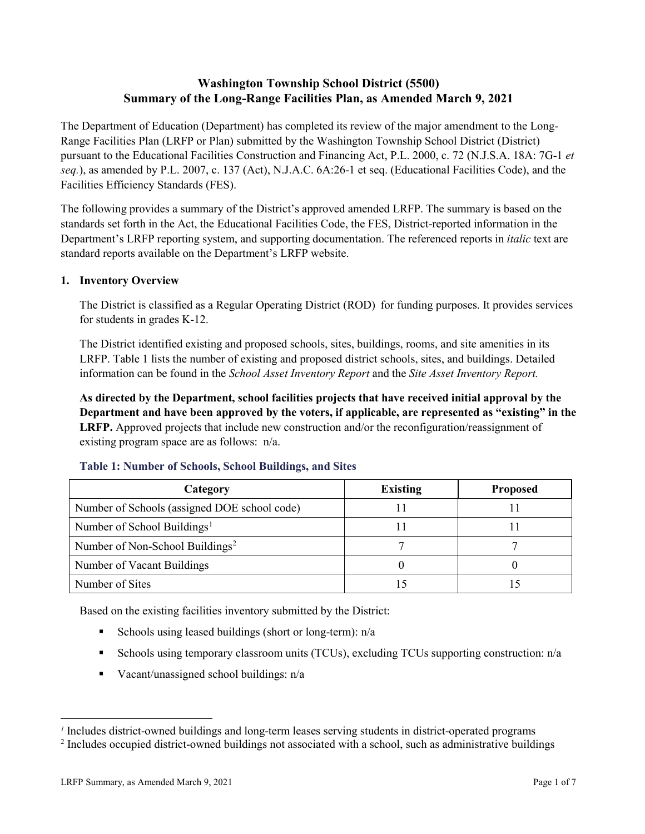# **Washington Township School District (5500) Summary of the Long-Range Facilities Plan, as Amended March 9, 2021**

The Department of Education (Department) has completed its review of the major amendment to the Long-Range Facilities Plan (LRFP or Plan) submitted by the Washington Township School District (District) pursuant to the Educational Facilities Construction and Financing Act, P.L. 2000, c. 72 (N.J.S.A. 18A: 7G-1 *et seq.*), as amended by P.L. 2007, c. 137 (Act), N.J.A.C. 6A:26-1 et seq. (Educational Facilities Code), and the Facilities Efficiency Standards (FES).

The following provides a summary of the District's approved amended LRFP. The summary is based on the standards set forth in the Act, the Educational Facilities Code, the FES, District-reported information in the Department's LRFP reporting system, and supporting documentation. The referenced reports in *italic* text are standard reports available on the Department's LRFP website.

### **1. Inventory Overview**

The District is classified as a Regular Operating District (ROD) for funding purposes. It provides services for students in grades K-12.

The District identified existing and proposed schools, sites, buildings, rooms, and site amenities in its LRFP. Table 1 lists the number of existing and proposed district schools, sites, and buildings. Detailed information can be found in the *School Asset Inventory Report* and the *Site Asset Inventory Report.*

**As directed by the Department, school facilities projects that have received initial approval by the Department and have been approved by the voters, if applicable, are represented as "existing" in the LRFP.** Approved projects that include new construction and/or the reconfiguration/reassignment of existing program space are as follows: n/a.

| Category                                     | <b>Existing</b> | <b>Proposed</b> |
|----------------------------------------------|-----------------|-----------------|
| Number of Schools (assigned DOE school code) |                 |                 |
| Number of School Buildings <sup>1</sup>      |                 |                 |
| Number of Non-School Buildings <sup>2</sup>  |                 |                 |
| Number of Vacant Buildings                   |                 |                 |
| Number of Sites                              |                 |                 |

#### **Table 1: Number of Schools, School Buildings, and Sites**

Based on the existing facilities inventory submitted by the District:

- Schools using leased buildings (short or long-term):  $n/a$
- Schools using temporary classroom units (TCUs), excluding TCUs supporting construction: n/a
- Vacant/unassigned school buildings:  $n/a$

 $\overline{a}$ 

<span id="page-1-1"></span><span id="page-1-0"></span>*<sup>1</sup>* Includes district-owned buildings and long-term leases serving students in district-operated programs

<sup>&</sup>lt;sup>2</sup> Includes occupied district-owned buildings not associated with a school, such as administrative buildings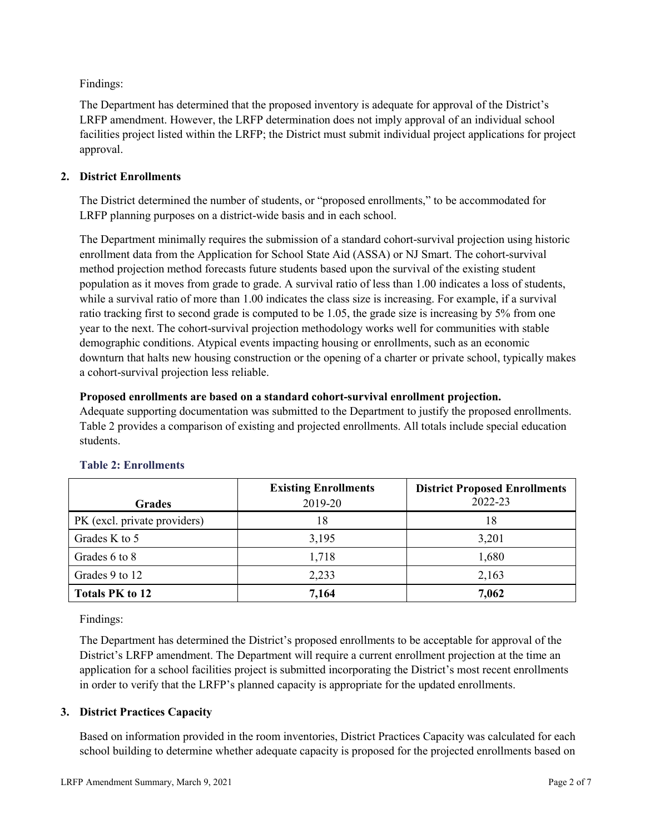Findings:

The Department has determined that the proposed inventory is adequate for approval of the District's LRFP amendment. However, the LRFP determination does not imply approval of an individual school facilities project listed within the LRFP; the District must submit individual project applications for project approval.

### **2. District Enrollments**

The District determined the number of students, or "proposed enrollments," to be accommodated for LRFP planning purposes on a district-wide basis and in each school.

The Department minimally requires the submission of a standard cohort-survival projection using historic enrollment data from the Application for School State Aid (ASSA) or NJ Smart. The cohort-survival method projection method forecasts future students based upon the survival of the existing student population as it moves from grade to grade. A survival ratio of less than 1.00 indicates a loss of students, while a survival ratio of more than 1.00 indicates the class size is increasing. For example, if a survival ratio tracking first to second grade is computed to be 1.05, the grade size is increasing by 5% from one year to the next. The cohort-survival projection methodology works well for communities with stable demographic conditions. Atypical events impacting housing or enrollments, such as an economic downturn that halts new housing construction or the opening of a charter or private school, typically makes a cohort-survival projection less reliable.

### **Proposed enrollments are based on a standard cohort-survival enrollment projection.**

Adequate supporting documentation was submitted to the Department to justify the proposed enrollments. Table 2 provides a comparison of existing and projected enrollments. All totals include special education students.

|                              | <b>Existing Enrollments</b> | <b>District Proposed Enrollments</b> |
|------------------------------|-----------------------------|--------------------------------------|
| <b>Grades</b>                | 2019-20                     | 2022-23                              |
| PK (excl. private providers) | 18                          | 18                                   |
| Grades K to 5                | 3,195                       | 3,201                                |
| Grades 6 to 8                | 1,718                       | 1,680                                |
| Grades 9 to 12               | 2,233                       | 2,163                                |
| <b>Totals PK to 12</b>       | 7,164                       | 7,062                                |

# **Table 2: Enrollments**

Findings:

The Department has determined the District's proposed enrollments to be acceptable for approval of the District's LRFP amendment. The Department will require a current enrollment projection at the time an application for a school facilities project is submitted incorporating the District's most recent enrollments in order to verify that the LRFP's planned capacity is appropriate for the updated enrollments.

# **3. District Practices Capacity**

Based on information provided in the room inventories, District Practices Capacity was calculated for each school building to determine whether adequate capacity is proposed for the projected enrollments based on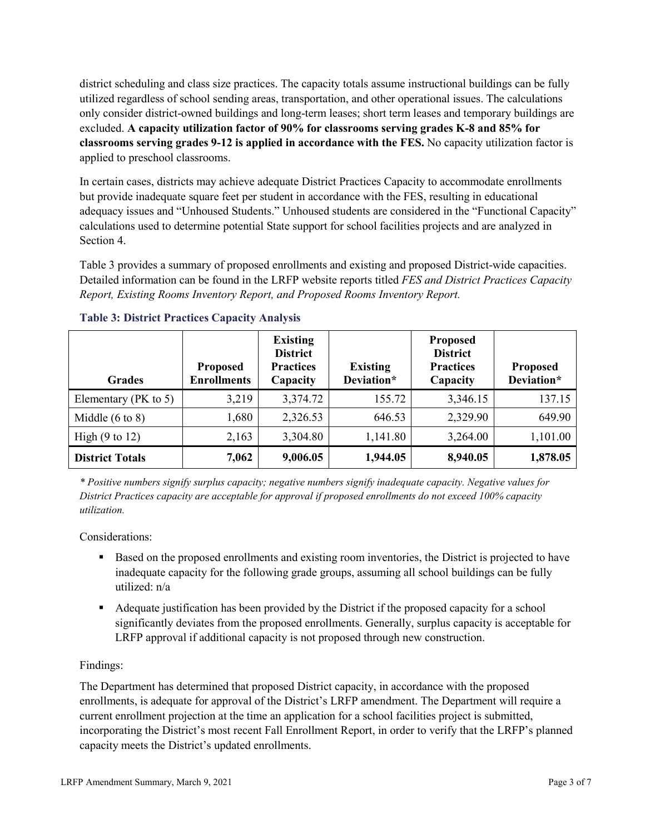district scheduling and class size practices. The capacity totals assume instructional buildings can be fully utilized regardless of school sending areas, transportation, and other operational issues. The calculations only consider district-owned buildings and long-term leases; short term leases and temporary buildings are excluded. **A capacity utilization factor of 90% for classrooms serving grades K-8 and 85% for classrooms serving grades 9-12 is applied in accordance with the FES.** No capacity utilization factor is applied to preschool classrooms.

In certain cases, districts may achieve adequate District Practices Capacity to accommodate enrollments but provide inadequate square feet per student in accordance with the FES, resulting in educational adequacy issues and "Unhoused Students." Unhoused students are considered in the "Functional Capacity" calculations used to determine potential State support for school facilities projects and are analyzed in Section 4.

Table 3 provides a summary of proposed enrollments and existing and proposed District-wide capacities. Detailed information can be found in the LRFP website reports titled *FES and District Practices Capacity Report, Existing Rooms Inventory Report, and Proposed Rooms Inventory Report.*

| <b>Grades</b>              | <b>Proposed</b><br><b>Enrollments</b> | <b>Existing</b><br><b>District</b><br><b>Practices</b><br>Capacity | <b>Existing</b><br>Deviation* | <b>Proposed</b><br><b>District</b><br><b>Practices</b><br>Capacity | <b>Proposed</b><br>Deviation* |
|----------------------------|---------------------------------------|--------------------------------------------------------------------|-------------------------------|--------------------------------------------------------------------|-------------------------------|
| Elementary ( $PK$ to 5)    | 3,219                                 | 3,374.72                                                           | 155.72                        | 3,346.15                                                           | 137.15                        |
| Middle $(6 \text{ to } 8)$ | 1,680                                 | 2,326.53                                                           | 646.53                        | 2,329.90                                                           | 649.90                        |
| High $(9 \text{ to } 12)$  | 2,163                                 | 3,304.80                                                           | 1,141.80                      | 3,264.00                                                           | 1,101.00                      |
| <b>District Totals</b>     | 7,062                                 | 9,006.05                                                           | 1,944.05                      | 8,940.05                                                           | 1,878.05                      |

### **Table 3: District Practices Capacity Analysis**

*\* Positive numbers signify surplus capacity; negative numbers signify inadequate capacity. Negative values for District Practices capacity are acceptable for approval if proposed enrollments do not exceed 100% capacity utilization.*

Considerations:

- **Based on the proposed enrollments and existing room inventories, the District is projected to have** inadequate capacity for the following grade groups, assuming all school buildings can be fully utilized: n/a
- Adequate justification has been provided by the District if the proposed capacity for a school significantly deviates from the proposed enrollments. Generally, surplus capacity is acceptable for LRFP approval if additional capacity is not proposed through new construction.

### Findings:

The Department has determined that proposed District capacity, in accordance with the proposed enrollments, is adequate for approval of the District's LRFP amendment. The Department will require a current enrollment projection at the time an application for a school facilities project is submitted, incorporating the District's most recent Fall Enrollment Report, in order to verify that the LRFP's planned capacity meets the District's updated enrollments.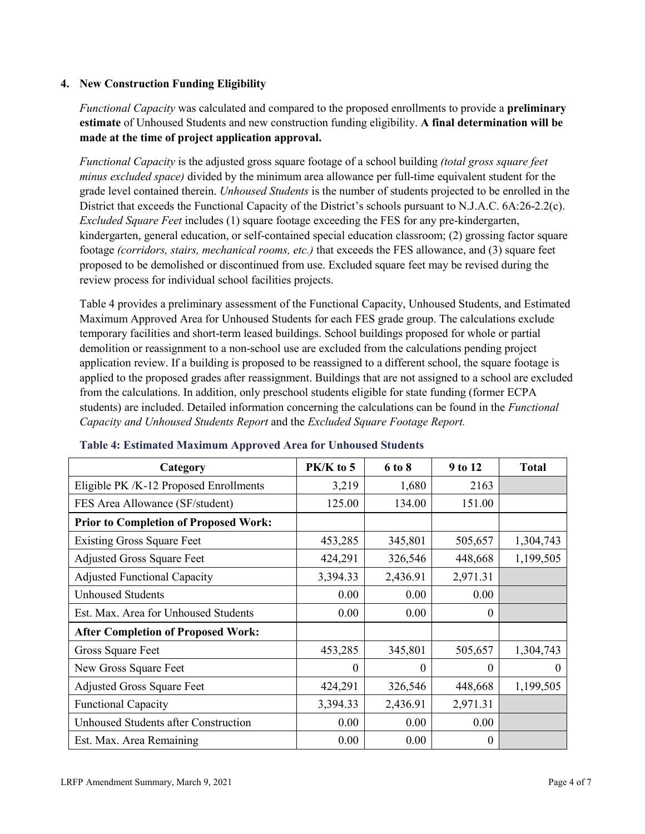### **4. New Construction Funding Eligibility**

*Functional Capacity* was calculated and compared to the proposed enrollments to provide a **preliminary estimate** of Unhoused Students and new construction funding eligibility. **A final determination will be made at the time of project application approval.**

*Functional Capacity* is the adjusted gross square footage of a school building *(total gross square feet minus excluded space)* divided by the minimum area allowance per full-time equivalent student for the grade level contained therein. *Unhoused Students* is the number of students projected to be enrolled in the District that exceeds the Functional Capacity of the District's schools pursuant to N.J.A.C. 6A:26-2.2(c). *Excluded Square Feet* includes (1) square footage exceeding the FES for any pre-kindergarten, kindergarten, general education, or self-contained special education classroom; (2) grossing factor square footage *(corridors, stairs, mechanical rooms, etc.)* that exceeds the FES allowance, and (3) square feet proposed to be demolished or discontinued from use. Excluded square feet may be revised during the review process for individual school facilities projects.

Table 4 provides a preliminary assessment of the Functional Capacity, Unhoused Students, and Estimated Maximum Approved Area for Unhoused Students for each FES grade group. The calculations exclude temporary facilities and short-term leased buildings. School buildings proposed for whole or partial demolition or reassignment to a non-school use are excluded from the calculations pending project application review. If a building is proposed to be reassigned to a different school, the square footage is applied to the proposed grades after reassignment. Buildings that are not assigned to a school are excluded from the calculations. In addition, only preschool students eligible for state funding (former ECPA students) are included. Detailed information concerning the calculations can be found in the *Functional Capacity and Unhoused Students Report* and the *Excluded Square Footage Report.*

| Category                                     | PK/K to 5 | 6 to 8   | 9 to 12  | <b>Total</b> |
|----------------------------------------------|-----------|----------|----------|--------------|
| Eligible PK /K-12 Proposed Enrollments       | 3,219     | 1,680    | 2163     |              |
| FES Area Allowance (SF/student)              | 125.00    | 134.00   | 151.00   |              |
| <b>Prior to Completion of Proposed Work:</b> |           |          |          |              |
| <b>Existing Gross Square Feet</b>            | 453,285   | 345,801  | 505,657  | 1,304,743    |
| <b>Adjusted Gross Square Feet</b>            | 424,291   | 326,546  | 448,668  | 1,199,505    |
| <b>Adjusted Functional Capacity</b>          | 3,394.33  | 2,436.91 | 2,971.31 |              |
| <b>Unhoused Students</b>                     | 0.00      | 0.00     | 0.00     |              |
| Est. Max. Area for Unhoused Students         | 0.00      | 0.00     | $\theta$ |              |
| <b>After Completion of Proposed Work:</b>    |           |          |          |              |
| Gross Square Feet                            | 453,285   | 345,801  | 505,657  | 1,304,743    |
| New Gross Square Feet                        | $\theta$  | 0        | $\theta$ | $\Omega$     |
| <b>Adjusted Gross Square Feet</b>            | 424,291   | 326,546  | 448,668  | 1,199,505    |
| <b>Functional Capacity</b>                   | 3,394.33  | 2,436.91 | 2,971.31 |              |
| Unhoused Students after Construction         | 0.00      | 0.00     | 0.00     |              |
| Est. Max. Area Remaining                     | 0.00      | 0.00     | 0        |              |

### **Table 4: Estimated Maximum Approved Area for Unhoused Students**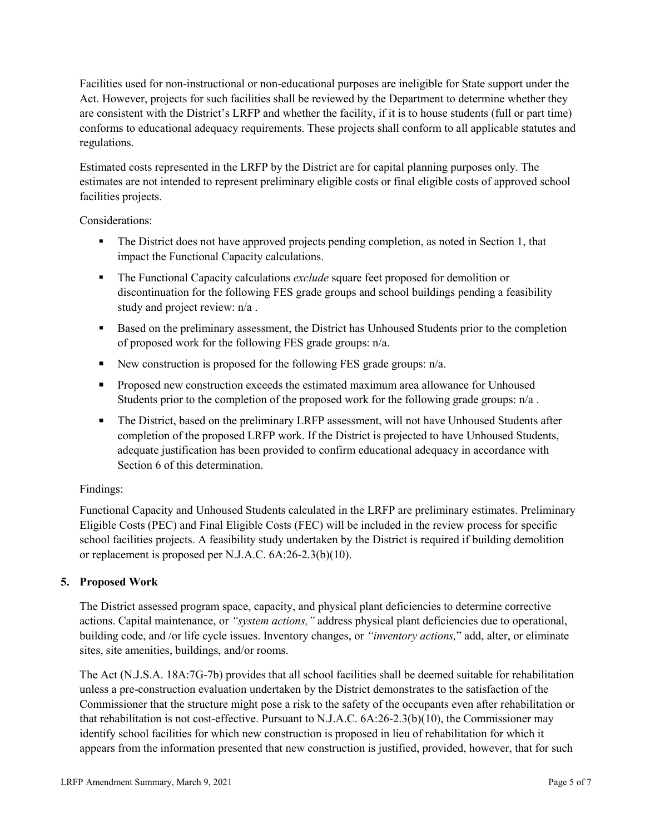Facilities used for non-instructional or non-educational purposes are ineligible for State support under the Act. However, projects for such facilities shall be reviewed by the Department to determine whether they are consistent with the District's LRFP and whether the facility, if it is to house students (full or part time) conforms to educational adequacy requirements. These projects shall conform to all applicable statutes and regulations.

Estimated costs represented in the LRFP by the District are for capital planning purposes only. The estimates are not intended to represent preliminary eligible costs or final eligible costs of approved school facilities projects.

Considerations:

- The District does not have approved projects pending completion, as noted in Section 1, that impact the Functional Capacity calculations.
- **The Functional Capacity calculations** *exclude* square feet proposed for demolition or discontinuation for the following FES grade groups and school buildings pending a feasibility study and project review: n/a .
- **Based on the preliminary assessment, the District has Unhoused Students prior to the completion** of proposed work for the following FES grade groups: n/a.
- New construction is proposed for the following FES grade groups: n/a.
- Proposed new construction exceeds the estimated maximum area allowance for Unhoused Students prior to the completion of the proposed work for the following grade groups: n/a.
- The District, based on the preliminary LRFP assessment, will not have Unhoused Students after completion of the proposed LRFP work. If the District is projected to have Unhoused Students, adequate justification has been provided to confirm educational adequacy in accordance with Section 6 of this determination.

### Findings:

Functional Capacity and Unhoused Students calculated in the LRFP are preliminary estimates. Preliminary Eligible Costs (PEC) and Final Eligible Costs (FEC) will be included in the review process for specific school facilities projects. A feasibility study undertaken by the District is required if building demolition or replacement is proposed per N.J.A.C. 6A:26-2.3(b)(10).

# **5. Proposed Work**

The District assessed program space, capacity, and physical plant deficiencies to determine corrective actions. Capital maintenance, or *"system actions,"* address physical plant deficiencies due to operational, building code, and /or life cycle issues. Inventory changes, or *"inventory actions,*" add, alter, or eliminate sites, site amenities, buildings, and/or rooms.

The Act (N.J.S.A. 18A:7G-7b) provides that all school facilities shall be deemed suitable for rehabilitation unless a pre-construction evaluation undertaken by the District demonstrates to the satisfaction of the Commissioner that the structure might pose a risk to the safety of the occupants even after rehabilitation or that rehabilitation is not cost-effective. Pursuant to N.J.A.C. 6A:26-2.3(b)(10), the Commissioner may identify school facilities for which new construction is proposed in lieu of rehabilitation for which it appears from the information presented that new construction is justified, provided, however, that for such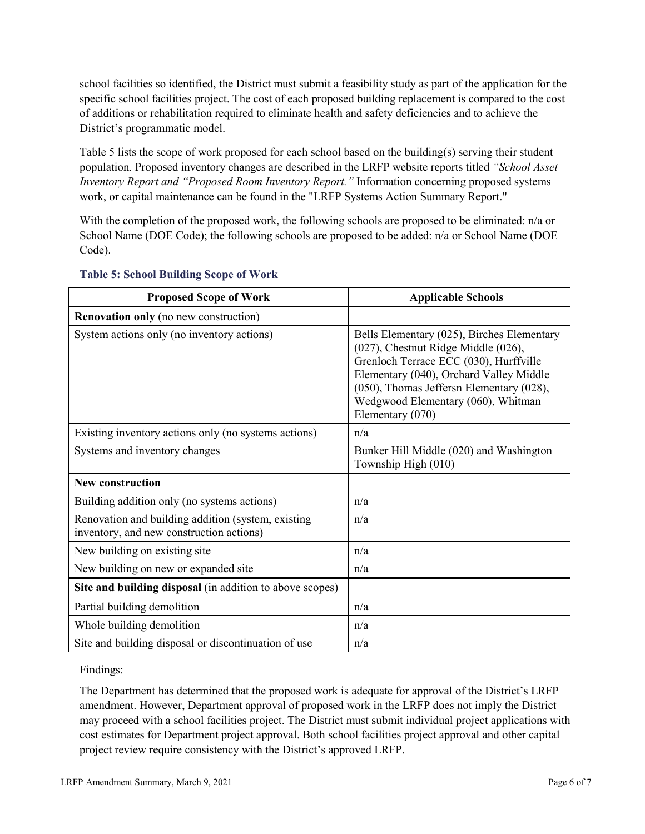school facilities so identified, the District must submit a feasibility study as part of the application for the specific school facilities project. The cost of each proposed building replacement is compared to the cost of additions or rehabilitation required to eliminate health and safety deficiencies and to achieve the District's programmatic model.

Table 5 lists the scope of work proposed for each school based on the building(s) serving their student population. Proposed inventory changes are described in the LRFP website reports titled *"School Asset Inventory Report and "Proposed Room Inventory Report."* Information concerning proposed systems work, or capital maintenance can be found in the "LRFP Systems Action Summary Report."

With the completion of the proposed work, the following schools are proposed to be eliminated: n/a or School Name (DOE Code); the following schools are proposed to be added: n/a or School Name (DOE Code).

| <b>Proposed Scope of Work</b>                                                                  | <b>Applicable Schools</b>                                                                                                                                                                                                                                                    |
|------------------------------------------------------------------------------------------------|------------------------------------------------------------------------------------------------------------------------------------------------------------------------------------------------------------------------------------------------------------------------------|
| <b>Renovation only</b> (no new construction)                                                   |                                                                                                                                                                                                                                                                              |
| System actions only (no inventory actions)                                                     | Bells Elementary (025), Birches Elementary<br>(027), Chestnut Ridge Middle (026),<br>Grenloch Terrace ECC (030), Hurffville<br>Elementary (040), Orchard Valley Middle<br>(050), Thomas Jeffersn Elementary (028),<br>Wedgwood Elementary (060), Whitman<br>Elementary (070) |
| Existing inventory actions only (no systems actions)                                           | n/a                                                                                                                                                                                                                                                                          |
| Systems and inventory changes                                                                  | Bunker Hill Middle (020) and Washington<br>Township High (010)                                                                                                                                                                                                               |
| <b>New construction</b>                                                                        |                                                                                                                                                                                                                                                                              |
| Building addition only (no systems actions)                                                    | n/a                                                                                                                                                                                                                                                                          |
| Renovation and building addition (system, existing<br>inventory, and new construction actions) | n/a                                                                                                                                                                                                                                                                          |
| New building on existing site                                                                  | n/a                                                                                                                                                                                                                                                                          |
| New building on new or expanded site                                                           | n/a                                                                                                                                                                                                                                                                          |
| Site and building disposal (in addition to above scopes)                                       |                                                                                                                                                                                                                                                                              |
| Partial building demolition                                                                    | n/a                                                                                                                                                                                                                                                                          |
| Whole building demolition                                                                      | n/a                                                                                                                                                                                                                                                                          |
| Site and building disposal or discontinuation of use                                           | n/a                                                                                                                                                                                                                                                                          |

### **Table 5: School Building Scope of Work**

Findings:

The Department has determined that the proposed work is adequate for approval of the District's LRFP amendment. However, Department approval of proposed work in the LRFP does not imply the District may proceed with a school facilities project. The District must submit individual project applications with cost estimates for Department project approval. Both school facilities project approval and other capital project review require consistency with the District's approved LRFP.